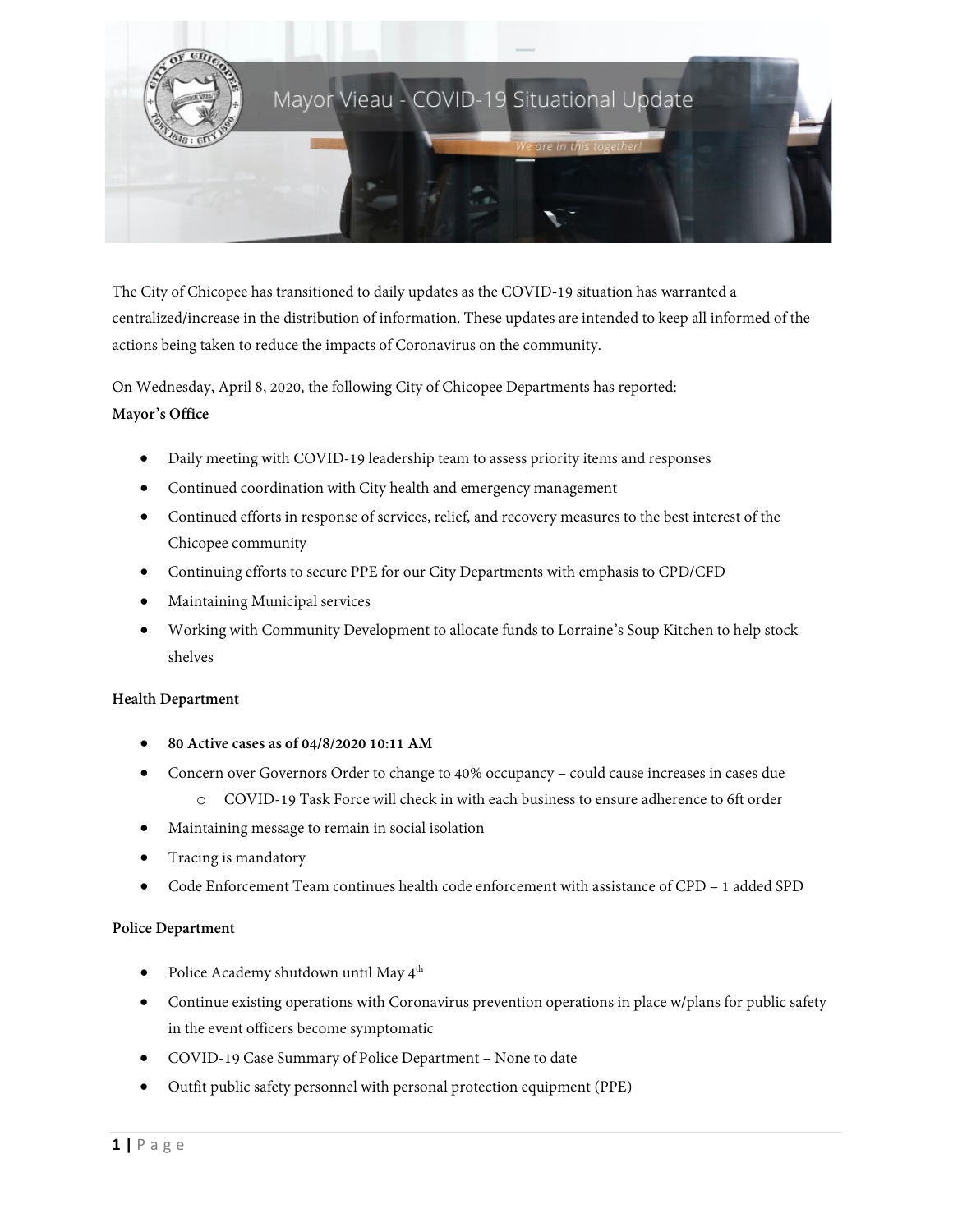

The City of Chicopee has transitioned to daily updates as the COVID-19 situation has warranted a centralized/increase in the distribution of information. These updates are intended to keep all informed of the actions being taken to reduce the impacts of Coronavirus on the community.

On Wednesday, April 8, 2020, the following City of Chicopee Departments has reported: **Mayor's Office**

- Daily meeting with COVID-19 leadership team to assess priority items and responses
- Continued coordination with City health and emergency management
- Continued efforts in response of services, relief, and recovery measures to the best interest of the Chicopee community
- Continuing efforts to secure PPE for our City Departments with emphasis to CPD/CFD
- Maintaining Municipal services
- Working with Community Development to allocate funds to Lorraine's Soup Kitchen to help stock shelves

## **Health Department**

- **80 Active cases as of 04/8/2020 10:11 AM**
- Concern over Governors Order to change to 40% occupancy could cause increases in cases due
	- o COVID-19 Task Force will check in with each business to ensure adherence to 6ft order
- Maintaining message to remain in social isolation
- Tracing is mandatory
- Code Enforcement Team continues health code enforcement with assistance of CPD 1 added SPD

## **Police Department**

- Police Academy shutdown until May  $4^{th}$
- Continue existing operations with Coronavirus prevention operations in place w/plans for public safety in the event officers become symptomatic
- COVID-19 Case Summary of Police Department None to date
- Outfit public safety personnel with personal protection equipment (PPE)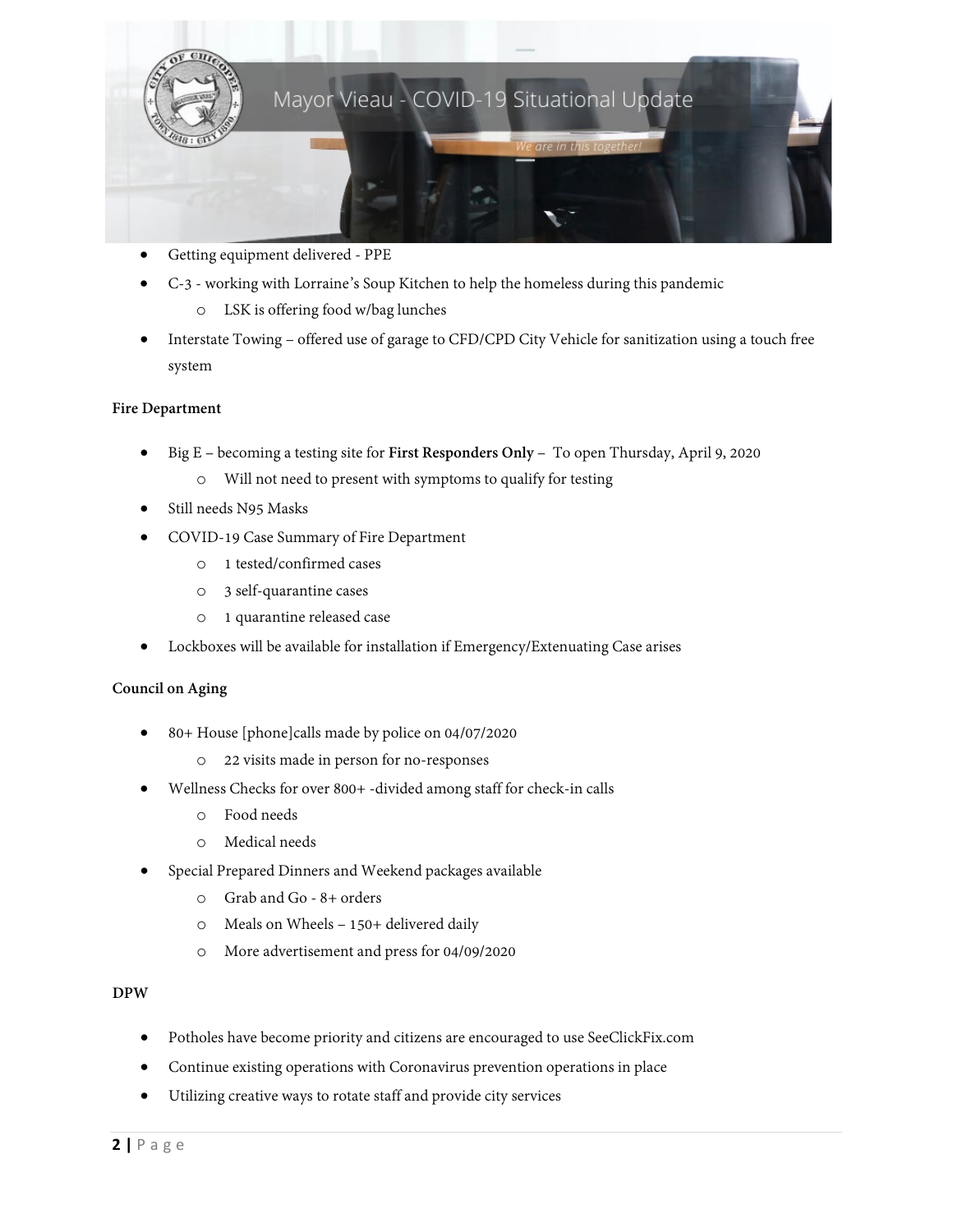

- Getting equipment delivered PPE
- C-3 working with Lorraine's Soup Kitchen to help the homeless during this pandemic
	- o LSK is offering food w/bag lunches
- Interstate Towing offered use of garage to CFD/CPD City Vehicle for sanitization using a touch free system

# **Fire Department**

- Big E becoming a testing site for **First Responders Only** To open Thursday, April 9, 2020
	- o Will not need to present with symptoms to qualify for testing
- Still needs N95 Masks
- COVID-19 Case Summary of Fire Department
	- o 1 tested/confirmed cases
	- o 3 self-quarantine cases
	- o 1 quarantine released case
- Lockboxes will be available for installation if Emergency/Extenuating Case arises

## **Council on Aging**

- 80+ House [phone]calls made by police on 04/07/2020
	- o 22 visits made in person for no-responses
- Wellness Checks for over 800+ -divided among staff for check-in calls
	- o Food needs
	- o Medical needs
- Special Prepared Dinners and Weekend packages available
	- o Grab and Go 8+ orders
	- o Meals on Wheels 150+ delivered daily
	- o More advertisement and press for 04/09/2020

# **DPW**

- Potholes have become priority and citizens are encouraged to use SeeClickFix.com
- Continue existing operations with Coronavirus prevention operations in place
- Utilizing creative ways to rotate staff and provide city services